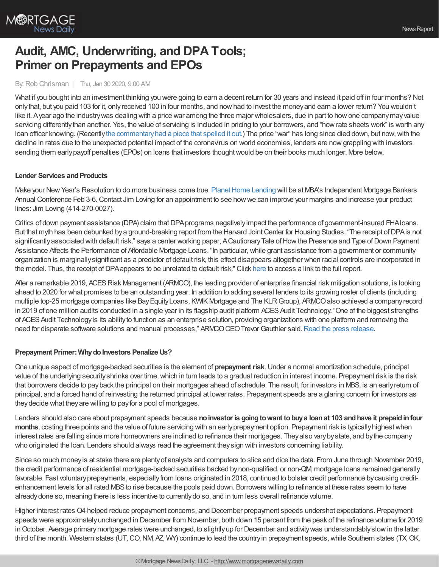

# **Audit, AMC, Underwriting, and DPA Tools; Primer on Prepayments and EPOs**

### By:Rob Chrisman | Thu, Jan 30 2020, 9:00 AM

What if you bought into an investment thinking you were going to earn a decent return for 30 years and instead it paid off in four months? Not onlythat, but you paid 103 for it, onlyreceived 100 in four months, and nowhad to invest the moneyand earn a lower return? You wouldn't like it. Ayear ago the industrywas dealing with a price war among the three major wholesalers, due in part to howone companymayvalue servicing differently than another. Yes, the value of servicing is included in pricing to your borrowers, and "how rate sheets work" is worth any loan officer knowing. (Recentlythe [commentaryhad](https://www.robchrisman.com/jan-20-what-mlos-made-in-2019-primer-on-mortgage-rates-pricing-why-is-my-rate-sheet-pricing-different/) a piece that spelled it out.) The price "war" has long since died down, but now,with the decline in rates due to the unexpected potential impact of the coronavirus on world economies, lenders are nowgrappling with investors sending them early payoff penalties (EPOs) on loans that investors thought would be on their books much longer. More below.

### **Lender Services and Products**

Make your New Year's Resolution to do more business come true. Planet Home Lending will be at MBA's Independent Mortgage Bankers Annual Conference Feb 3-6.Contact Jim Loving for an appointment to see howwe can improve your margins and increase your product lines: Jim Loving (414-270-0027).

Critics of down payment assistance (DPA) claim that DPA programs negatively impact the performance of government-insured FHA loans. But that myth has been debunked by a ground-breaking report from the Harvard Joint Center for Housing Studies. "The receipt of DPA is not significantly associated with default risk," says a center working paper, A Cautionary Tale of How the Presence and Type of Down Payment Assistance Affects the Performance of Affordable Mortgage Loans. "In particular, while grant assistance from a government or community organization is marginallysignificant as a predictor of default risk, this effect disappears altogether when racial controls are incorporated in the model. Thus, the receipt of DPA appears to be unrelated to default risk." Click [here](https://www.prnewswire.com/news-releases/studies-find-that-down-payment-assistance-programs-dont-affect-loan-performance-300954820.html) to access a link to the full report.

After a remarkable 2019, ACES Risk Management (ARMCO), the leading provider of enterprise financial risk mitigation solutions, is looking ahead to 2020 for what promises to be an outstanding year. In addition to adding several lenders to its growing roster of clients (including multiple top-25 mortgage companies like BayEquityLoans, KWIKMortgage and The KLRGroup), ARMCOalso achieved a companyrecord in 2019 of one million audits conducted in a single year in its flagship audit platform ACES Audit Technology. "One of the biggest strengths of ACESAudit Technologyis its abilityto function as an enterprise solution, providing organizations with one platform and removing the need for disparate software solutions and manual processes," ARMCO CEO Trevor Gauthier said. Read the press [release](https://www2.armco.us/company/news/armco-reports-strong-2019-RobChrisman-Jan2020).

### **Prepayment Primer: Why do Investors Penalize Us?**

One unique aspect of mortgage-backed securities is the element of **prepaymentrisk**.Under a normal amortization schedule, principal value of the underlying security shrinks over time, which in turn leads to a gradual reduction in interest income. Prepayment risk is the risk that borrowers decide to payback the principal on their mortgages ahead of schedule. The result, for investors in MBS, is an earlyreturn of principal, and a forced hand of reinvesting the returned principal at lower rates. Prepayment speeds are a glaring concern for investors as theydecide what theyare willing to payfor a pool of mortgages.

Lenders should also care about prepayment speeds because **noinvestor is goingtowant tobuya loanat 103 andhave it prepaidinfour months**, costing three points and the value of future servicing with an earlyprepayment option. Prepayment risk is typicallyhighestwhen interest rates are falling since more homeowners are inclined to refinance their mortgages. Theyalso varybystate, and bythe company who originated the loan. Lenders should always read the agreement theysign with investors concerning liability.

Since so much moneyis at stake there are plentyof analysts and computers to slice and dice the data. From June through November 2019, the credit performance of residential mortgage-backed securities backed bynon-qualified, or non-QM, mortgage loans remained generally favorable. Fast voluntaryprepayments, especiallyfrom loans originated in 2018, continued to bolster credit performance bycausing creditenhancement levels for all rated MBSto rise because the pools paid down. Borrowers willing to refinance at these rates seem to have alreadydone so, meaning there is less incentive to currentlydo so, and in turn less overall refinance volume.

Higher interest rates Q4 helped reduce prepayment concerns, and December prepayment speeds undershot expectations. Prepayment speeds were approximatelyunchanged in December from November, both down 15 percent from the peak of the refinance volume for 2019 in October. Average primary mortgage rates were unchanged, to slightly up for December and activity was understandably slow in the latter third of the month. Western states (UT,CO,NM, AZ, WY) continue to lead the countryin prepayment speeds,while Southern states (TX,OK,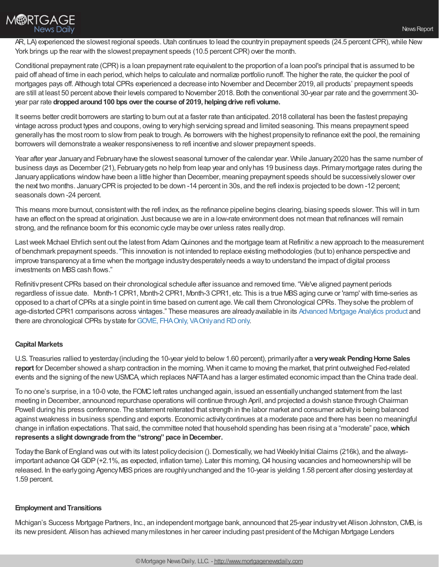

AR, LA) experienced the slowest regional speeds. Utah continues to lead the country in prepayment speeds (24.5 percent CPR), while New York brings up the rear with the slowest prepayment speeds (10.5 percent CPR) over the month.

Conditional prepayment rate (CPR) is a loan prepayment rate equivalent to the proportion of a loan pool's principal that is assumed to be paid off ahead of time in each period,which helps to calculate and normalize portfolio runoff. The higher the rate, the quicker the pool of mortgages pays off. Although total CPRs experienced a decrease into November and December 2019, all products' prepayment speeds are still at least 50 percent above their levels compared to November 2018. Both the conventional 30-year par rate and the government 30 year par rate **droppedaround100 bps over the course of 2019, helpingdrive refi volume.**

It seems better credit borrowers are starting to burn out at a faster rate than anticipated. 2018 collateral has been the fastest prepaying vintage across product types and coupons, owing to veryhigh servicing spread and limited seasoning. This means prepayment speed generallyhas the most room to slowfrom peak to trough. As borrowers with the highest propensityto refinance exit the pool, the remaining borrowers will demonstrate a weaker responsiveness to refi incentive and slower prepayment speeds.

Year after year Januaryand Februaryhave the slowest seasonal turnover of the calendar year. While January2020 has the same number of business days as December (21), Februarygets no help from leap year and onlyhas 19 business days. Primarymortgage rates during the January applications window have been a little higher than December, meaning prepayment speeds should be successively slower over the next two months. JanuaryCPRis projected to be down -14 percent in 30s, and the refi indexis projected to be down -12 percent; seasonals down -24 percent.

This means more burnout, consistentwith the refi index, as the refinance pipeline begins clearing, biasing speeds slower. This will in turn have an effect on the spread at origination. Just because we are in a low-rate environment does not mean that refinances will remain strong, and the refinance boom for this economic cycle maybe over unless rates reallydrop.

Last week Michael Ehrlich sent out the latest from Adam Quinones and the mortgage team at Refinitiv: a new approach to the measurement of benchmark prepayment speeds. "This innovation is not intended to replace existing methodologies (but to) enhance perspective and improve transparencyat a time when the mortgage industrydesperatelyneeds a wayto understand the impact of digital process investments on MBS cash flows."

RefinitivpresentCPRs based on their chronological schedule after issuance and removed time. "We've aligned payment periods regardless of issue date. Month-1 CPR1, Month-2 CPR1, Month-3 CPR1, etc. This is a true MBS aging curve or 'ramp' with time-series as opposed to a chart ofCPRs at a single point in time based on current age. We call them Chronological CPRs. Theysolve the problem of age-distorted CPR1 comparisons across vintages." These measures are alreadyavailable in its [Advanced](https://www.refinitiv.com/en/products/advanced-mortgage-analytics) Mortgage Analytics product and there are chronological CPRs by state for GOVIE, FHA Only, VA Only and RD only.

## **Capital Markets**

U.S. Treasuries rallied to yesterday(including the 10-year yield to below1.60 percent), primarilyafter a **veryweak PendingHome Sales report** for December showed a sharp contraction in the morning. When it came to moving the market, that print outweighed Fed-related events and the signing of the newUSMCA,which replaces NAFTAand has a larger estimated economic impact than the China trade deal.

To no one's surprise, in a 10-0 vote, the FOMC left rates unchanged again, issued an essentially unchanged statement from the last meeting in December, announced repurchase operations will continue through April, and projected a dovish stance through Chairman Powell during his press conference. The statement reiterated that strength in the labor market and consumer activity is being balanced againstweakness in business spending and exports. Economic activitycontinues at a moderate pace and there has been no meaningful change in inflation expectations. That said, the committee noted that household spending has been rising at a "moderate" pace,**which represents a slight downgrade fromthe "strong" pace inDecember.**

Today the Bank of England was out with its latest policy decision (). Domestically, we had Weekly Initial Claims (216k), and the alwaysimportant advance Q4 GDP (+2.1%, as expected, inflation tame). Later this morning, Q4 housing vacancies and homeownership will be released. In the earlygoing AgencyMBS prices are roughlyunchanged and the 10-year is yielding 1.58 percent after closing yesterday at 1.59 percent.

### **Employment and Transitions**

Michigan's Success Mortgage Partners, Inc., an independent mortgage bank, announced that 25-year industryvet Allison Johnston,CMB, is its new president. Allison has achieved many milestones in her career including past president of the Michigan Mortgage Lenders